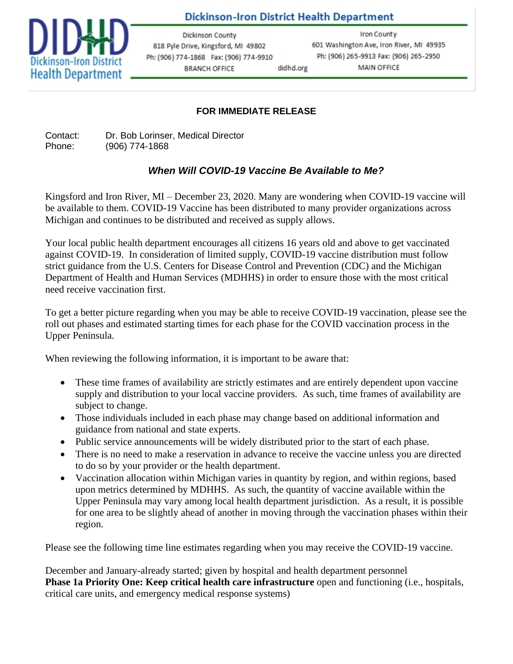

**Dickinson-Iron District Health Department** 

didhd.org

**Dickinson County** 818 Pyle Drive, Kingsford, MI 49802 Ph: (906) 774-1868 Fax: (906) 774-9910 **BRANCH OFFICE** 

**Iron County** 601 Washington Ave, Iron River, MI 49935 Ph: (906) 265-9913 Fax: (906) 265-2950 **MAIN OFFICE** 

## **FOR IMMEDIATE RELEASE**

Contact: Dr. Bob Lorinser, Medical Director Phone: (906) 774-1868

# *When Will COVID-19 Vaccine Be Available to Me?*

Kingsford and Iron River, MI – December 23, 2020. Many are wondering when COVID-19 vaccine will be available to them. COVID-19 Vaccine has been distributed to many provider organizations across Michigan and continues to be distributed and received as supply allows.

Your local public health department encourages all citizens 16 years old and above to get vaccinated against COVID-19. In consideration of limited supply, COVID-19 vaccine distribution must follow strict guidance from the U.S. Centers for Disease Control and Prevention (CDC) and the Michigan Department of Health and Human Services (MDHHS) in order to ensure those with the most critical need receive vaccination first.

To get a better picture regarding when you may be able to receive COVID-19 vaccination, please see the roll out phases and estimated starting times for each phase for the COVID vaccination process in the Upper Peninsula.

When reviewing the following information, it is important to be aware that:

- These time frames of availability are strictly estimates and are entirely dependent upon vaccine supply and distribution to your local vaccine providers. As such, time frames of availability are subject to change.
- Those individuals included in each phase may change based on additional information and guidance from national and state experts.
- Public service announcements will be widely distributed prior to the start of each phase.
- There is no need to make a reservation in advance to receive the vaccine unless you are directed to do so by your provider or the health department.
- Vaccination allocation within Michigan varies in quantity by region, and within regions, based upon metrics determined by MDHHS. As such, the quantity of vaccine available within the Upper Peninsula may vary among local health department jurisdiction. As a result, it is possible for one area to be slightly ahead of another in moving through the vaccination phases within their region.

Please see the following time line estimates regarding when you may receive the COVID-19 vaccine.

December and January-already started; given by hospital and health department personnel **Phase 1a Priority One: Keep critical health care infrastructure** open and functioning (i.e., hospitals, critical care units, and emergency medical response systems)